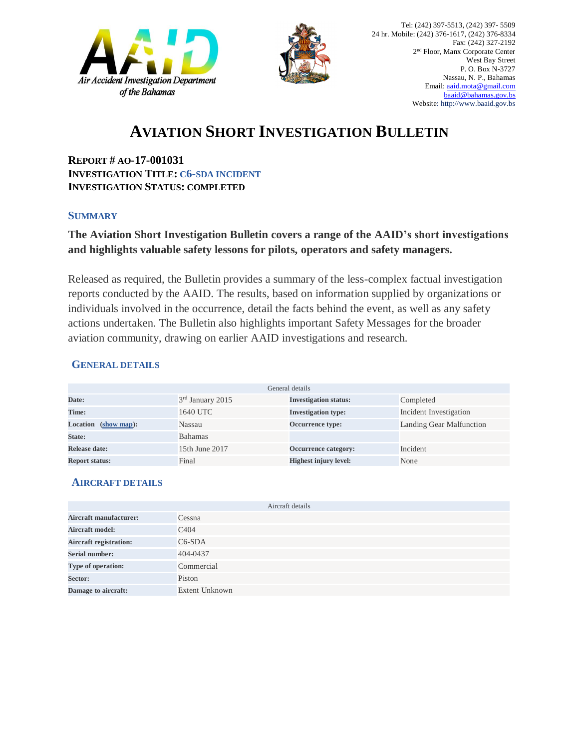



# **AVIATION SHORT INVESTIGATION BULLETIN**

**REPORT # AO-17-001031 INVESTIGATION TITLE: C6-SDA INCIDENT INVESTIGATION STATUS: COMPLETED**

#### **SUMMARY**

### **The Aviation Short Investigation Bulletin covers a range of the AAID's short investigations and highlights valuable safety lessons for pilots, operators and safety managers.**

Released as required, the Bulletin provides a summary of the less-complex factual investigation reports conducted by the AAID. The results, based on information supplied by organizations or individuals involved in the occurrence, detail the facts behind the event, as well as any safety actions undertaken. The Bulletin also highlights important Safety Messages for the broader aviation community, drawing on earlier AAID investigations and research.

#### **GENERAL DETAILS**

| General details       |                              |                              |                          |
|-----------------------|------------------------------|------------------------------|--------------------------|
| Date:                 | 3 <sup>rd</sup> January 2015 | <b>Investigation status:</b> | Completed                |
| Time:                 | 1640 UTC                     | <b>Investigation type:</b>   | Incident Investigation   |
| Location (show map):  | Nassau                       | Occurrence type:             | Landing Gear Malfunction |
| State:                | <b>Bahamas</b>               |                              |                          |
| Release date:         | 15th June 2017               | Occurrence category:         | Incident                 |
| <b>Report status:</b> | Final                        | <b>Highest injury level:</b> | None                     |

#### **AIRCRAFT DETAILS**

| Aircraft details              |                   |  |
|-------------------------------|-------------------|--|
| Aircraft manufacturer:        | Cessna            |  |
| <b>Aircraft model:</b>        | C <sub>4</sub> 04 |  |
| <b>Aircraft registration:</b> | $C6-SDA$          |  |
| Serial number:                | 404-0437          |  |
| Type of operation:            | Commercial        |  |
| Sector:                       | Piston            |  |
| Damage to aircraft:           | Extent Unknown    |  |